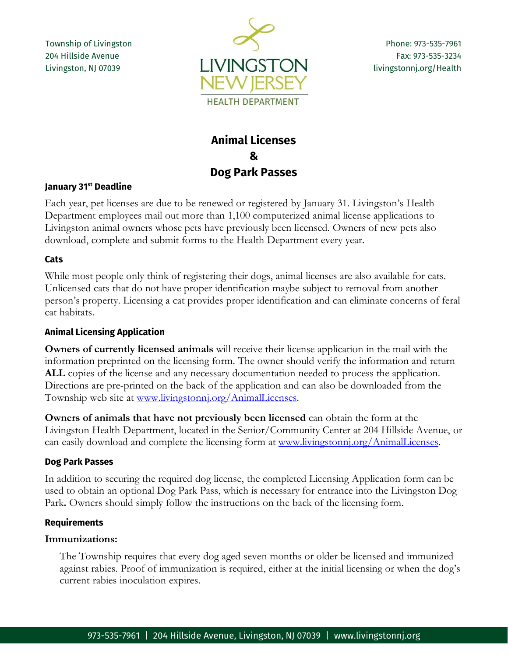Township of Livingston 204 Hillside Avenue Livingston, NJ 07039



Phone: 973-535-7961 Fax: 973-535-3234 livingstonnj.org/Health

# **Animal Licenses & Dog Park Passes**

## **January 31st Deadline**

Each year, pet licenses are due to be renewed or registered by January 31. Livingston's Health Department employees mail out more than 1,100 computerized animal license applications to Livingston animal owners whose pets have previously been licensed. Owners of new pets also download, complete and submit forms to the Health Department every year.

## **Cats**

While most people only think of registering their dogs, animal licenses are also available for cats. Unlicensed cats that do not have proper identification maybe subject to removal from another person's property. Licensing a cat provides proper identification and can eliminate concerns of feral cat habitats.

## **Animal Licensing Application**

**Owners of currently licensed animals** will receive their license application in the mail with the information preprinted on the licensing form. The owner should verify the information and return ALL copies of the license and any necessary documentation needed to process the application. Directions are pre-printed on the back of the application and can also be downloaded from the Township web site at [www.livingstonnj.org/AnimalLicenses.](http://www.livingstonnj.org/AnimalLicenses)

**Owners of animals that have not previously been licensed** can obtain the form at the Livingston Health Department, located in the Senior/Community Center at 204 Hillside Avenue, or can easily download and complete the licensing form at [www.livingstonnj.org/AnimalLicenses.](http://www.livingstonnj.org/AnimalLicenses)

## **Dog Park Passes**

In addition to securing the required dog license, the completed Licensing Application form can be used to obtain an optional Dog Park Pass, which is necessary for entrance into the Livingston Dog Park**.** Owners should simply follow the instructions on the back of the licensing form.

#### **Requirements**

## **Immunizations:**

The Township requires that every dog aged seven months or older be licensed and immunized against rabies. Proof of immunization is required, either at the initial licensing or when the dog's current rabies inoculation expires.